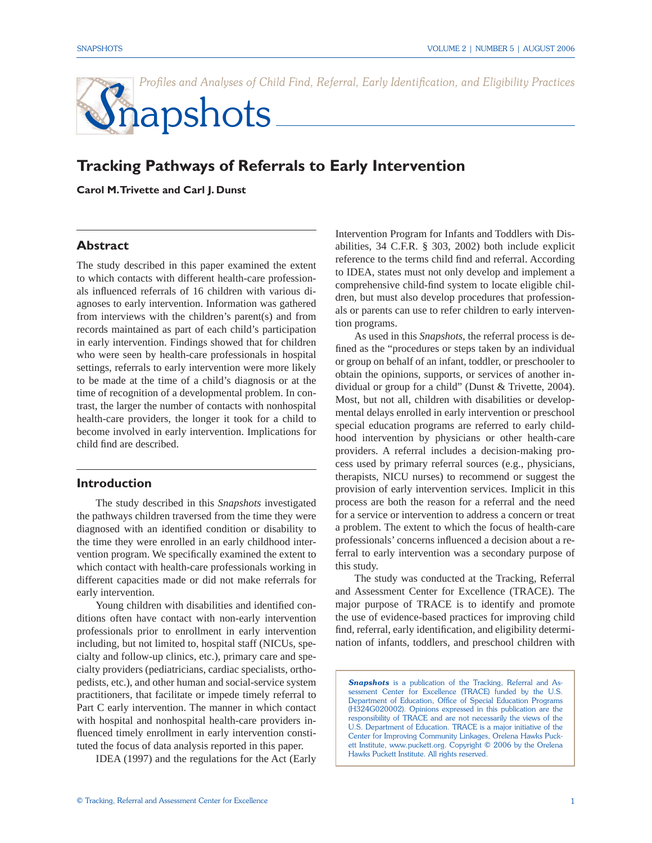Profiles and Analyses of Child Find, Referral, Early Identification, and Eligibility Practices

# **S**napshots

## **Tracking Pathways of Referrals to Early Intervention**

**Carol M. Trivette and Carl J. Dunst**

## **Abstract**

The study described in this paper examined the extent to which contacts with different health-care professionals influenced referrals of 16 children with various diagnoses to early intervention. Information was gathered from interviews with the children's parent(s) and from records maintained as part of each child's participation in early intervention. Findings showed that for children who were seen by health-care professionals in hospital settings, referrals to early intervention were more likely to be made at the time of a child's diagnosis or at the time of recognition of a developmental problem. In contrast, the larger the number of contacts with nonhospital health-care providers, the longer it took for a child to become involved in early intervention. Implications for child find are described.

## **Introduction**

The study described in this *Snapshots* investigated the pathways children traversed from the time they were diagnosed with an identified condition or disability to the time they were enrolled in an early childhood intervention program. We specifically examined the extent to which contact with health-care professionals working in different capacities made or did not make referrals for early intervention.

Young children with disabilities and identified conditions often have contact with non-early intervention professionals prior to enrollment in early intervention including, but not limited to, hospital staff (NICUs, specialty and follow-up clinics, etc.), primary care and specialty providers (pediatricians, cardiac specialists, orthopedists, etc.), and other human and social-service system practitioners, that facilitate or impede timely referral to Part C early intervention. The manner in which contact with hospital and nonhospital health-care providers influenced timely enrollment in early intervention constituted the focus of data analysis reported in this paper.

IDEA (1997) and the regulations for the Act (Early

Intervention Program for Infants and Toddlers with Disabilities, 34 C.F.R. § 303, 2002) both include explicit reference to the terms child find and referral. According to IDEA, states must not only develop and implement a comprehensive child-find system to locate eligible children, but must also develop procedures that professionals or parents can use to refer children to early intervention programs.

As used in this *Snapshots*, the referral process is defined as the "procedures or steps taken by an individual or group on behalf of an infant, toddler, or preschooler to obtain the opinions, supports, or services of another individual or group for a child" (Dunst & Trivette, 2004). Most, but not all, children with disabilities or developmental delays enrolled in early intervention or preschool special education programs are referred to early childhood intervention by physicians or other health-care providers. A referral includes a decision-making process used by primary referral sources (e.g., physicians, therapists, NICU nurses) to recommend or suggest the provision of early intervention services. Implicit in this process are both the reason for a referral and the need for a service or intervention to address a concern or treat a problem. The extent to which the focus of health-care professionals' concerns influenced a decision about a referral to early intervention was a secondary purpose of this study.

The study was conducted at the Tracking, Referral and Assessment Center for Excellence (TRACE). The major purpose of TRACE is to identify and promote the use of evidence-based practices for improving child find, referral, early identification, and eligibility determination of infants, toddlers, and preschool children with

**Snapshots** is a publication of the Tracking, Referral and Assessment Center for Excellence (TRACE) funded by the U.S. Department of Education, Office of Special Education Programs (H324G020002). Opinions expressed in this publication are the responsibility of TRACE and are not necessarily the views of the U.S. Department of Education. TRACE is a major initiative of the Center for Improving Community Linkages, Orelena Hawks Puckett Institute, www.puckett.org. Copyright © 2006 by the Orelena Hawks Puckett Institute. All rights reserved.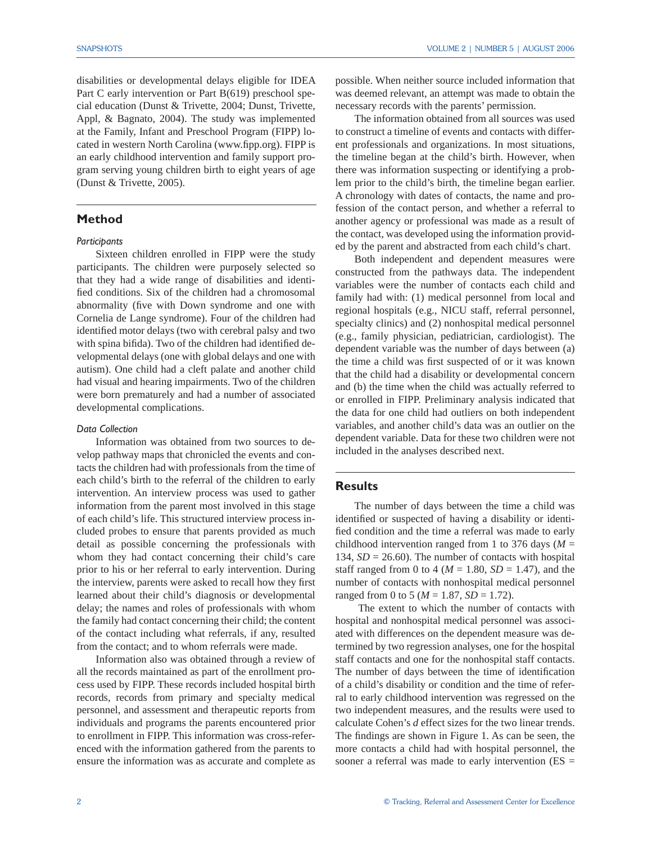disabilities or developmental delays eligible for IDEA Part C early intervention or Part B(619) preschool special education (Dunst & Trivette, 2004; Dunst, Trivette, Appl, & Bagnato, 2004). The study was implemented at the Family, Infant and Preschool Program (FIPP) located in western North Carolina (www.fipp.org). FIPP is an early childhood intervention and family support program serving young children birth to eight years of age (Dunst & Trivette, 2005).

## **Method**

### *Participants*

Sixteen children enrolled in FIPP were the study participants. The children were purposely selected so that they had a wide range of disabilities and identified conditions. Six of the children had a chromosomal abnormality (five with Down syndrome and one with Cornelia de Lange syndrome). Four of the children had identified motor delays (two with cerebral palsy and two with spina bifida). Two of the children had identified developmental delays (one with global delays and one with autism). One child had a cleft palate and another child had visual and hearing impairments. Two of the children were born prematurely and had a number of associated developmental complications.

#### *Data Collection*

Information was obtained from two sources to develop pathway maps that chronicled the events and contacts the children had with professionals from the time of each child's birth to the referral of the children to early intervention. An interview process was used to gather information from the parent most involved in this stage of each child's life. This structured interview process included probes to ensure that parents provided as much detail as possible concerning the professionals with whom they had contact concerning their child's care prior to his or her referral to early intervention. During the interview, parents were asked to recall how they first learned about their child's diagnosis or developmental delay; the names and roles of professionals with whom the family had contact concerning their child; the content of the contact including what referrals, if any, resulted from the contact; and to whom referrals were made.

Information also was obtained through a review of all the records maintained as part of the enrollment process used by FIPP. These records included hospital birth records, records from primary and specialty medical personnel, and assessment and therapeutic reports from individuals and programs the parents encountered prior to enrollment in FIPP. This information was cross-referenced with the information gathered from the parents to ensure the information was as accurate and complete as possible. When neither source included information that was deemed relevant, an attempt was made to obtain the necessary records with the parents' permission.

The information obtained from all sources was used to construct a timeline of events and contacts with different professionals and organizations. In most situations, the timeline began at the child's birth. However, when there was information suspecting or identifying a problem prior to the child's birth, the timeline began earlier. A chronology with dates of contacts, the name and profession of the contact person, and whether a referral to another agency or professional was made as a result of the contact, was developed using the information provided by the parent and abstracted from each child's chart.

Both independent and dependent measures were constructed from the pathways data. The independent variables were the number of contacts each child and family had with: (1) medical personnel from local and regional hospitals (e.g., NICU staff, referral personnel, specialty clinics) and (2) nonhospital medical personnel (e.g., family physician, pediatrician, cardiologist). The dependent variable was the number of days between (a) the time a child was first suspected of or it was known that the child had a disability or developmental concern and (b) the time when the child was actually referred to or enrolled in FIPP. Preliminary analysis indicated that the data for one child had outliers on both independent variables, and another child's data was an outlier on the dependent variable. Data for these two children were not included in the analyses described next.

## **Results**

The number of days between the time a child was identified or suspected of having a disability or identified condition and the time a referral was made to early childhood intervention ranged from 1 to 376 days (*M* = 134,  $SD = 26.60$ ). The number of contacts with hospital staff ranged from 0 to 4 ( $M = 1.80$ ,  $SD = 1.47$ ), and the number of contacts with nonhospital medical personnel ranged from 0 to 5 ( $M = 1.87$ ,  $SD = 1.72$ ).

 The extent to which the number of contacts with hospital and nonhospital medical personnel was associated with differences on the dependent measure was determined by two regression analyses, one for the hospital staff contacts and one for the nonhospital staff contacts. The number of days between the time of identification of a child's disability or condition and the time of referral to early childhood intervention was regressed on the two independent measures, and the results were used to calculate Cohen's *d* effect sizes for the two linear trends. The findings are shown in Figure 1. As can be seen, the more contacts a child had with hospital personnel, the sooner a referral was made to early intervention (ES =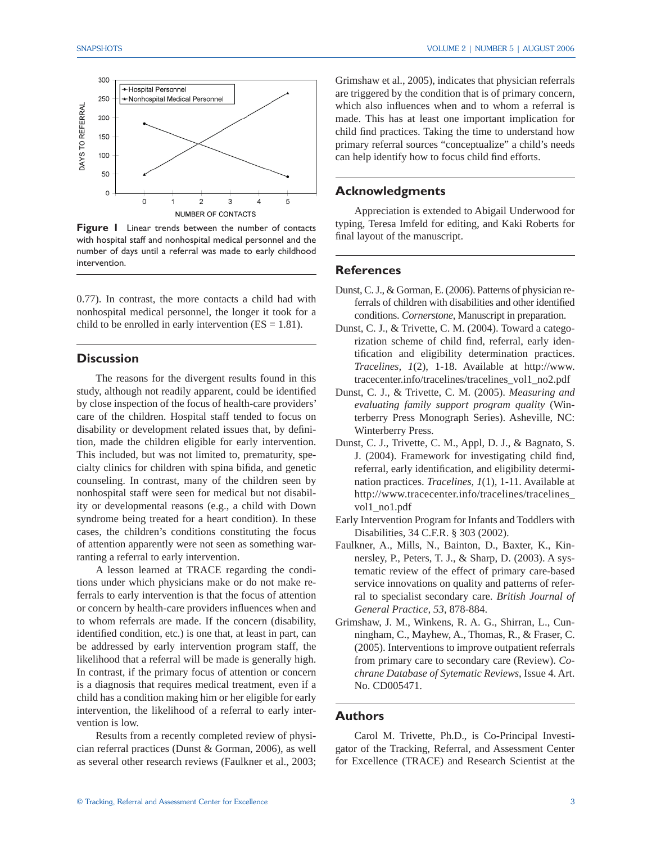

**Figure 1** Linear trends between the number of contacts with hospital staff and nonhospital medical personnel and the number of days until a referral was made to early childhood intervention.

0.77). In contrast, the more contacts a child had with nonhospital medical personnel, the longer it took for a child to be enrolled in early intervention  $(ES = 1.81)$ .

## **Discussion**

The reasons for the divergent results found in this study, although not readily apparent, could be identified by close inspection of the focus of health-care providers' care of the children. Hospital staff tended to focus on disability or development related issues that, by definition, made the children eligible for early intervention. This included, but was not limited to, prematurity, specialty clinics for children with spina bifida, and genetic counseling. In contrast, many of the children seen by nonhospital staff were seen for medical but not disability or developmental reasons (e.g., a child with Down syndrome being treated for a heart condition). In these cases, the children's conditions constituting the focus of attention apparently were not seen as something warranting a referral to early intervention.

A lesson learned at TRACE regarding the conditions under which physicians make or do not make referrals to early intervention is that the focus of attention or concern by health-care providers influences when and to whom referrals are made. If the concern (disability, identified condition, etc.) is one that, at least in part, can be addressed by early intervention program staff, the likelihood that a referral will be made is generally high. In contrast, if the primary focus of attention or concern is a diagnosis that requires medical treatment, even if a child has a condition making him or her eligible for early intervention, the likelihood of a referral to early intervention is low.

Results from a recently completed review of physician referral practices (Dunst & Gorman, 2006), as well as several other research reviews (Faulkner et al., 2003; Grimshaw et al., 2005), indicates that physician referrals are triggered by the condition that is of primary concern, which also influences when and to whom a referral is made. This has at least one important implication for child find practices. Taking the time to understand how primary referral sources "conceptualize" a child's needs can help identify how to focus child find efforts.

## **Acknowledgments**

 Appreciation is extended to Abigail Underwood for typing, Teresa Imfeld for editing, and Kaki Roberts for final layout of the manuscript.

## **References**

- Dunst, C. J., & Gorman, E. (2006). Patterns of physician referrals of children with disabilities and other identified conditions. *Cornerstone*, Manuscript in preparation.
- Dunst, C. J., & Trivette, C. M. (2004). Toward a categorization scheme of child find, referral, early identification and eligibility determination practices. *Tracelines, 1*(2), 1-18. Available at http://www. tracecenter.info/tracelines/tracelines\_vol1\_no2.pdf
- Dunst, C. J., & Trivette, C. M. (2005). *Measuring and evaluating family support program quality* (Winterberry Press Monograph Series). Asheville, NC: Winterberry Press.
- Dunst, C. J., Trivette, C. M., Appl, D. J., & Bagnato, S. J. (2004). Framework for investigating child find, referral, early identification, and eligibility determination practices. *Tracelines, 1*(1), 1-11. Available at http://www.tracecenter.info/tracelines/tracelines\_ vol1\_no1.pdf
- Early Intervention Program for Infants and Toddlers with Disabilities, 34 C.F.R. § 303 (2002).
- Faulkner, A., Mills, N., Bainton, D., Baxter, K., Kinnersley, P., Peters, T. J., & Sharp, D. (2003). A systematic review of the effect of primary care-based service innovations on quality and patterns of referral to specialist secondary care. *British Journal of General Practice, 53*, 878-884.
- Grimshaw, J. M., Winkens, R. A. G., Shirran, L., Cunningham, C., Mayhew, A., Thomas, R., & Fraser, C. (2005). Interventions to improve outpatient referrals from primary care to secondary care (Review). *Cochrane Database of Sytematic Reviews*, Issue 4. Art. No. CD005471.

## **Authors**

 Carol M. Trivette, Ph.D., is Co-Principal Investigator of the Tracking, Referral, and Assessment Center for Excellence (TRACE) and Research Scientist at the